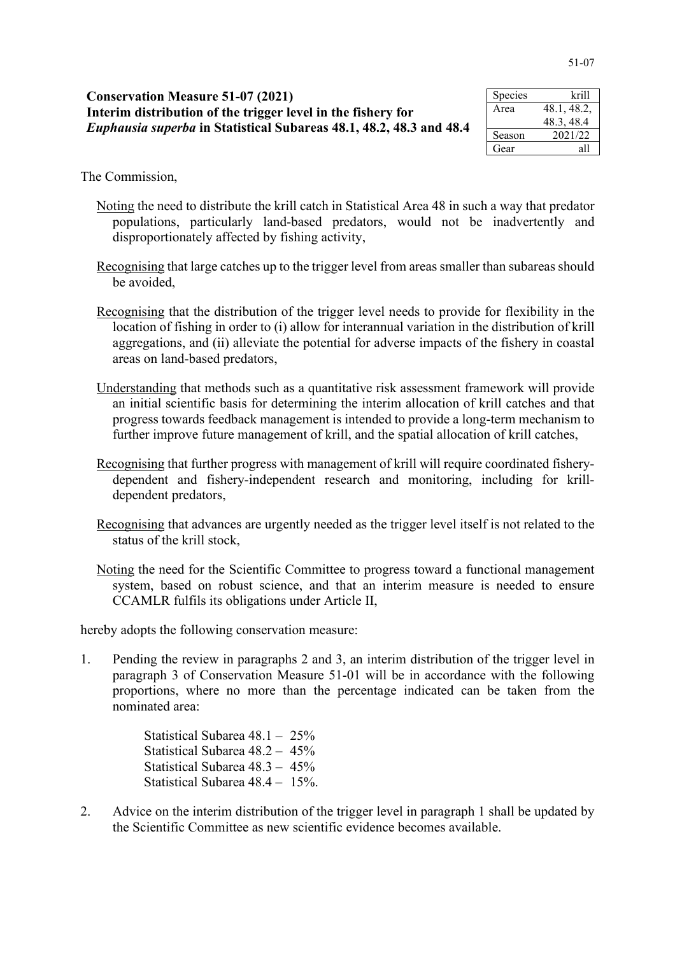| <b>Conservation Measure 51-07 (2021)</b><br>Interim distribution of the trigger level in the fishery for<br><i>Euphausia superba</i> in Statistical Subareas 48.1, 48.2, 48.3 and 48.4 | Species          | krill                    |
|----------------------------------------------------------------------------------------------------------------------------------------------------------------------------------------|------------------|--------------------------|
|                                                                                                                                                                                        | Area             | 48.1, 48.2,<br>48.3.48.4 |
|                                                                                                                                                                                        | Season           | 2021/22                  |
|                                                                                                                                                                                        | G <sub>par</sub> | - 11ه                    |

| Species | krill       |
|---------|-------------|
| Area    | 48.1, 48.2, |
|         | 48.3, 48.4  |
| Season  | 2021/22     |
| Gear    | all         |

The Commission,

- Noting the need to distribute the krill catch in Statistical Area 48 in such a way that predator populations, particularly land-based predators, would not be inadvertently and disproportionately affected by fishing activity,
- Recognising that large catches up to the trigger level from areas smaller than subareas should be avoided,
- Recognising that the distribution of the trigger level needs to provide for flexibility in the location of fishing in order to (i) allow for interannual variation in the distribution of krill aggregations, and (ii) alleviate the potential for adverse impacts of the fishery in coastal areas on land-based predators,
- Understanding that methods such as a quantitative risk assessment framework will provide an initial scientific basis for determining the interim allocation of krill catches and that progress towards feedback management is intended to provide a long-term mechanism to further improve future management of krill, and the spatial allocation of krill catches,
- Recognising that further progress with management of krill will require coordinated fisherydependent and fishery-independent research and monitoring, including for krilldependent predators,
- Recognising that advances are urgently needed as the trigger level itself is not related to the status of the krill stock,
- Noting the need for the Scientific Committee to progress toward a functional management system, based on robust science, and that an interim measure is needed to ensure CCAMLR fulfils its obligations under Article II,

hereby adopts the following conservation measure:

1. Pending the review in paragraphs 2 and 3, an interim distribution of the trigger level in paragraph 3 of Conservation Measure 51-01 will be in accordance with the following proportions, where no more than the percentage indicated can be taken from the nominated area:

> Statistical Subarea 48.1 – 25% Statistical Subarea 48.2 – 45% Statistical Subarea 48.3 – 45% Statistical Subarea 48.4 – 15%.

2. Advice on the interim distribution of the trigger level in paragraph 1 shall be updated by the Scientific Committee as new scientific evidence becomes available.